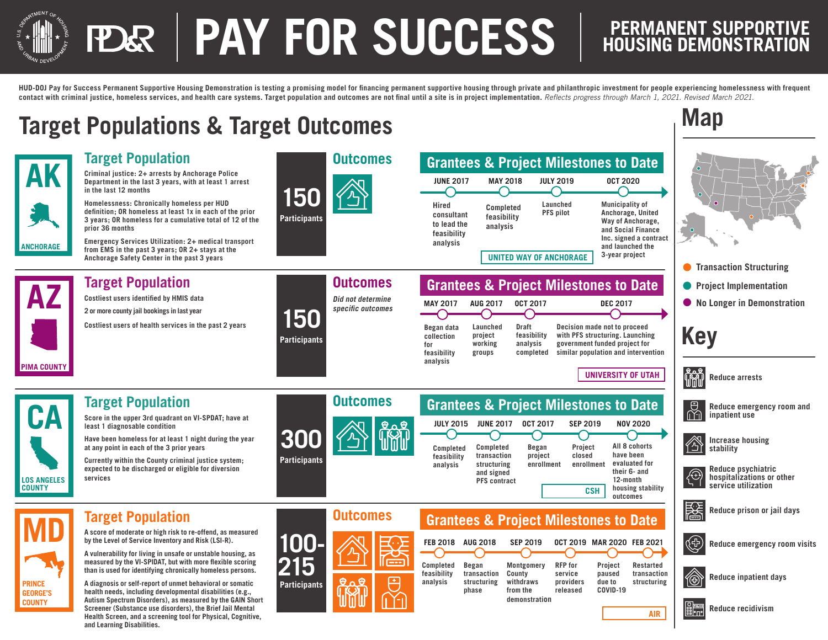# **PAY FOR SUCCESS**

## **PERMANENT SUPPORTIVE<br>HOUSING DEMONSTRATION**

**Map**

HUD-DOJ Pay for Success Permanent Supportive Housing Demonstration is testing a promising model for financing permanent supportive housing through private and philanthropic investment for people experiencing homelessness w contact with criminal justice, homeless services, and health care systems. Target population and outcomes are not final until a site is in project implementation. Reflects progress through March 1, 2021. Revised March 2021

### **Target Populations & Target Outcomes**

**and Learning Disabilities.**